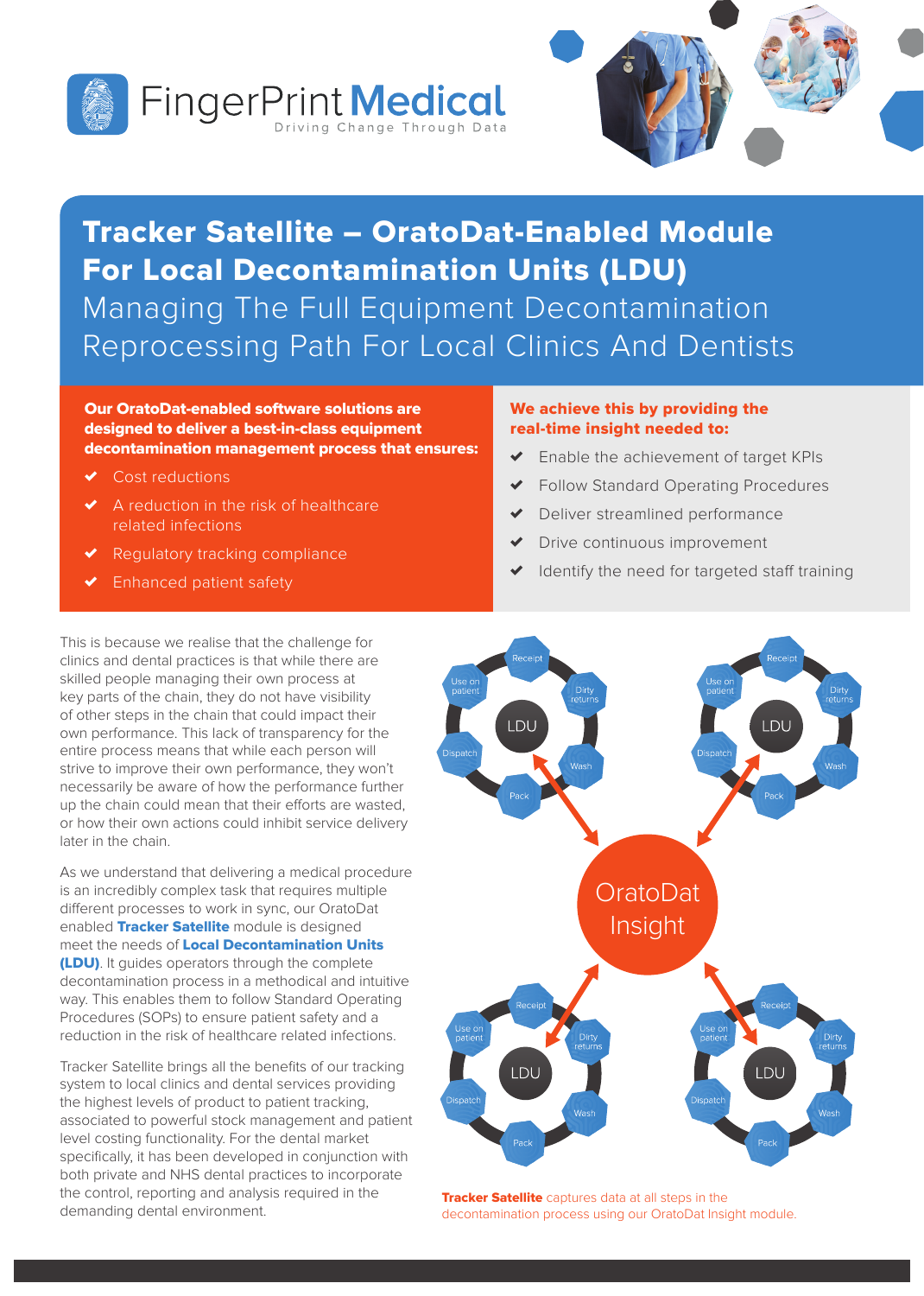



# Tracker Satellite – OratoDat-Enabled Module For Local Decontamination Units (LDU) Managing The Full Equipment Decontamination Reprocessing Path For Local Clinics And Dentists

### Our OratoDat-enabled software solutions are designed to deliver a best-in-class equipment decontamination management process that ensures:

- Cost reductions
- ✗ A reduction in the risk of healthcare related infections
- Regulatory tracking compliance
- Enhanced patient safety

### We achieve this by providing the real-time insight needed to:

- Enable the achievement of target KPIs
- ✗ Follow Standard Operating Procedures
- Deliver streamlined performance
- Drive continuous improvement
- Identify the need for targeted staff training

This is because we realise that the challenge for clinics and dental practices is that while there are skilled people managing their own process at key parts of the chain, they do not have visibility of other steps in the chain that could impact their own performance. This lack of transparency for the entire process means that while each person will strive to improve their own performance, they won't necessarily be aware of how the performance further up the chain could mean that their efforts are wasted, or how their own actions could inhibit service delivery later in the chain.

As we understand that delivering a medical procedure is an incredibly complex task that requires multiple different processes to work in sync, our OratoDat enabled Tracker Satellite module is designed meet the needs of Local Decontamination Units (LDU). It guides operators through the complete decontamination process in a methodical and intuitive way. This enables them to follow Standard Operating Procedures (SOPs) to ensure patient safety and a reduction in the risk of healthcare related infections.

Tracker Satellite brings all the benefits of our tracking system to local clinics and dental services providing the highest levels of product to patient tracking, associated to powerful stock management and patient level costing functionality. For the dental market specifically, it has been developed in conjunction with both private and NHS dental practices to incorporate the control, reporting and analysis required in the demanding dental environment.



**Tracker Satellite** captures data at all steps in the decontamination process using our OratoDat Insight module.